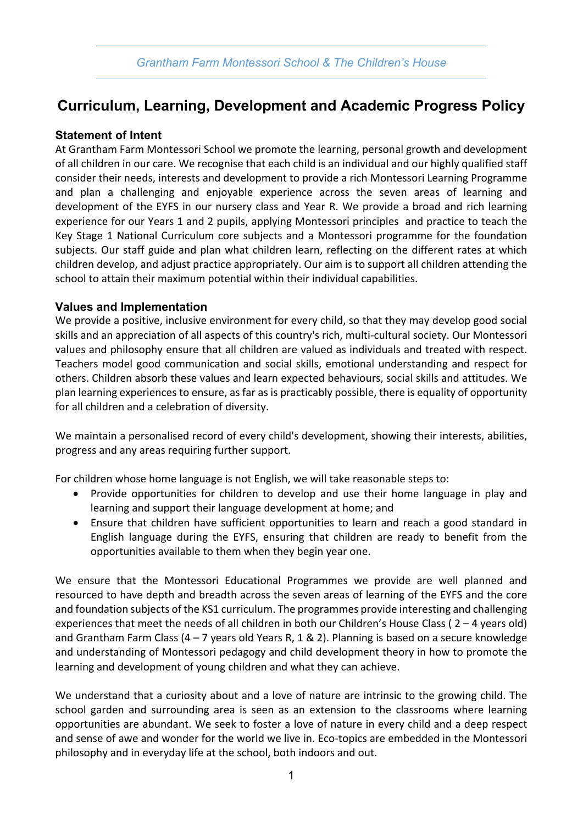# **Curriculum, Learning, Development and Academic Progress Policy**

## **Statement of Intent**

At Grantham Farm Montessori School we promote the learning, personal growth and development of all children in our care. We recognise that each child is an individual and our highly qualified staff consider their needs, interests and development to provide a rich Montessori Learning Programme and plan a challenging and enjoyable experience across the seven areas of learning and development of the EYFS in our nursery class and Year R. We provide a broad and rich learning experience for our Years 1 and 2 pupils, applying Montessori principles and practice to teach the Key Stage 1 National Curriculum core subjects and a Montessori programme for the foundation subjects. Our staff guide and plan what children learn, reflecting on the different rates at which children develop, and adjust practice appropriately. Our aim is to support all children attending the school to attain their maximum potential within their individual capabilities.

#### **Values and Implementation**

We provide a positive, inclusive environment for every child, so that they may develop good social skills and an appreciation of all aspects of this country's rich, multi-cultural society. Our Montessori values and philosophy ensure that all children are valued as individuals and treated with respect. Teachers model good communication and social skills, emotional understanding and respect for others. Children absorb these values and learn expected behaviours, social skills and attitudes. We plan learning experiences to ensure, as far as is practicably possible, there is equality of opportunity for all children and a celebration of diversity.

We maintain a personalised record of every child's development, showing their interests, abilities, progress and any areas requiring further support.

For children whose home language is not English, we will take reasonable steps to:

- Provide opportunities for children to develop and use their home language in play and learning and support their language development at home; and
- Ensure that children have sufficient opportunities to learn and reach a good standard in English language during the EYFS, ensuring that children are ready to benefit from the opportunities available to them when they begin year one.

We ensure that the Montessori Educational Programmes we provide are well planned and resourced to have depth and breadth across the seven areas of learning of the EYFS and the core and foundation subjects of the KS1 curriculum. The programmes provide interesting and challenging experiences that meet the needs of all children in both our Children's House Class ( 2 – 4 years old) and Grantham Farm Class  $(4 - 7$  years old Years R, 1 & 2). Planning is based on a secure knowledge and understanding of Montessori pedagogy and child development theory in how to promote the learning and development of young children and what they can achieve.

We understand that a curiosity about and a love of nature are intrinsic to the growing child. The school garden and surrounding area is seen as an extension to the classrooms where learning opportunities are abundant. We seek to foster a love of nature in every child and a deep respect and sense of awe and wonder for the world we live in. Eco-topics are embedded in the Montessori philosophy and in everyday life at the school, both indoors and out.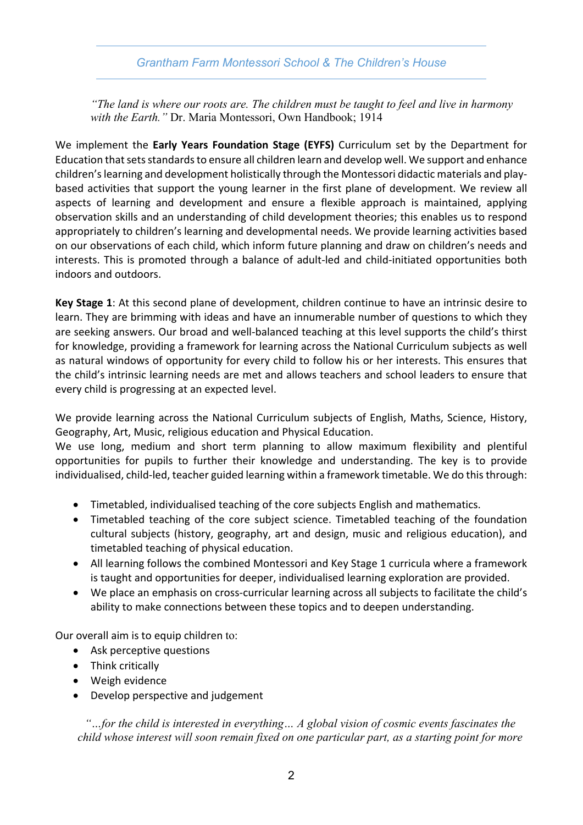## *Grantham Farm Montessori School & The Children's House*

*"The land is where our roots are. The children must be taught to feel and live in harmony with the Earth."* Dr. Maria Montessori, Own Handbook; 1914

We implement the **Early Years Foundation Stage (EYFS)** Curriculum set by the Department for Education that sets standards to ensure all children learn and develop well. We support and enhance children's learning and development holistically through the Montessori didactic materials and playbased activities that support the young learner in the first plane of development. We review all aspects of learning and development and ensure a flexible approach is maintained, applying observation skills and an understanding of child development theories; this enables us to respond appropriately to children's learning and developmental needs. We provide learning activities based on our observations of each child, which inform future planning and draw on children's needs and interests. This is promoted through a balance of adult-led and child-initiated opportunities both indoors and outdoors.

**Key Stage 1**: At this second plane of development, children continue to have an intrinsic desire to learn. They are brimming with ideas and have an innumerable number of questions to which they are seeking answers. Our broad and well-balanced teaching at this level supports the child's thirst for knowledge, providing a framework for learning across the National Curriculum subjects as well as natural windows of opportunity for every child to follow his or her interests. This ensures that the child's intrinsic learning needs are met and allows teachers and school leaders to ensure that every child is progressing at an expected level.

We provide learning across the National Curriculum subjects of English, Maths, Science, History, Geography, Art, Music, religious education and Physical Education.

We use long, medium and short term planning to allow maximum flexibility and plentiful opportunities for pupils to further their knowledge and understanding. The key is to provide individualised, child-led, teacher guided learning within a framework timetable. We do this through:

- Timetabled, individualised teaching of the core subjects English and mathematics.
- Timetabled teaching of the core subject science. Timetabled teaching of the foundation cultural subjects (history, geography, art and design, music and religious education), and timetabled teaching of physical education.
- All learning follows the combined Montessori and Key Stage 1 curricula where a framework is taught and opportunities for deeper, individualised learning exploration are provided.
- We place an emphasis on cross-curricular learning across all subjects to facilitate the child's ability to make connections between these topics and to deepen understanding.

Our overall aim is to equip children to:

- Ask perceptive questions
- Think critically
- Weigh evidence
- Develop perspective and judgement

*"…for the child is interested in everything… A global vision of cosmic events fascinates the child whose interest will soon remain fixed on one particular part, as a starting point for more*